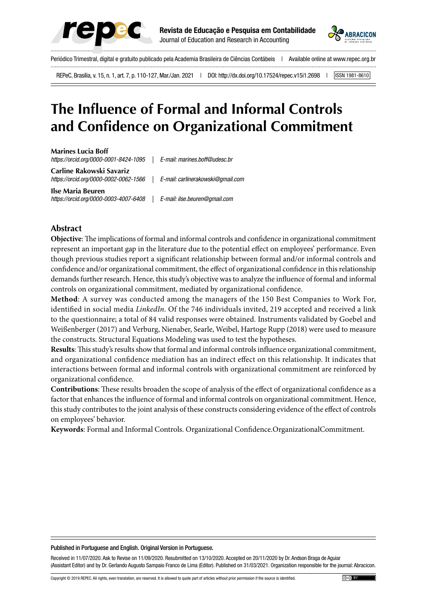



Periódico Trimestral, digital e gratuito publicado pela Academia Brasileira de Ciências Contábeis | Available online at www.repec.org.br

REPeC, Brasília, v. 15, n. 1, art. 7, p. 110-127, Mar./Jan. 2021 | DOI: http://dx.doi.org/10.17524/repec.v15i1.2698 | [ISSN 1981-8610]

# **The Influence of Formal and Informal Controls and Confidence on Organizational Commitment**

**Marines Lucia Boff** *https://orcid.org/0000-0001-8424-1095 | E-mail: marines.boff@udesc.br*

**Carline Rakowski Savariz**

*https://orcid.org/0000-0002-0062-1566 | E-mail: carlinerakowski@gmail.com*

**Ilse Maria Beuren** *https://orcid.org/0000-0003-4007-6408 | E-mail: ilse.beuren@gmail.com*

### **Abstract**

**Objective**: The implications of formal and informal controls and confidence in organizational commitment represent an important gap in the literature due to the potential effect on employees' performance. Even though previous studies report a significant relationship between formal and/or informal controls and confidence and/or organizational commitment, the effect of organizational confidence in this relationship demands further research. Hence, this study's objective was to analyze the influence of formal and informal controls on organizational commitment, mediated by organizational confidence.

**Method**: A survey was conducted among the managers of the 150 Best Companies to Work For, identified in social media *LinkedIn*. Of the 746 individuals invited, 219 accepted and received a link to the questionnaire; a total of 84 valid responses were obtained. Instruments validated by Goebel and Weißenberger (2017) and Verburg, Nienaber, Searle, Weibel, Hartoge Rupp (2018) were used to measure the constructs. Structural Equations Modeling was used to test the hypotheses.

**Results**: This study's results show that formal and informal controls influence organizational commitment, and organizational confidence mediation has an indirect effect on this relationship. It indicates that interactions between formal and informal controls with organizational commitment are reinforced by organizational confidence.

**Contributions**: These results broaden the scope of analysis of the effect of organizational confidence as a factor that enhances the influence of formal and informal controls on organizational commitment. Hence, this study contributes to the joint analysis of these constructs considering evidence of the effect of controls on employees' behavior.

**Keywords**: Formal and Informal Controls. Organizational Confidence.OrganizationalCommitment.

#### Published in Portuguese and English. Original Version in Portuguese.

Received in 11/07/2020. Ask to Revise on 11/09/2020. Resubmitted on 13/10/2020. Accepted on 20/11/2020 by Dr. Andson Braga de Aguiar (Assistant Editor) and by Dr. Gerlando Augusto Sampaio Franco de Lima (Editor). Published on 31/03/2021. Organization responsible for the journal: Abracicon.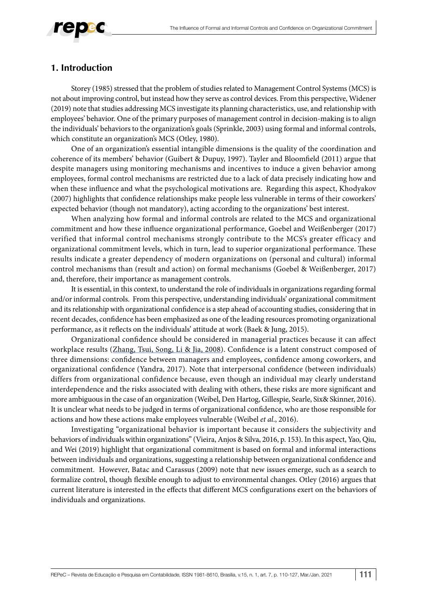

### **1. Introduction**

Storey (1985) stressed that the problem of studies related to Management Control Systems (MCS) is not about improving control, but instead how they serve as control devices. From this perspective, Widener (2019) note that studies addressing MCS investigate its planning characteristics, use, and relationship with employees' behavior. One of the primary purposes of management control in decision-making is to align the individuals' behaviors to the organization's goals (Sprinkle, 2003) using formal and informal controls, which constitute an organization's MCS (Otley, 1980).

One of an organization's essential intangible dimensions is the quality of the coordination and coherence of its members' behavior (Guibert & Dupuy, 1997). Tayler and Bloomfield (2011) argue that despite managers using monitoring mechanisms and incentives to induce a given behavior among employees, formal control mechanisms are restricted due to a lack of data precisely indicating how and when these influence and what the psychological motivations are. Regarding this aspect, Khodyakov (2007) highlights that confidence relationships make people less vulnerable in terms of their coworkers' expected behavior (though not mandatory), acting according to the organizations' best interest.

When analyzing how formal and informal controls are related to the MCS and organizational commitment and how these influence organizational performance, Goebel and Weißenberger (2017) verified that informal control mechanisms strongly contribute to the MCS's greater efficacy and organizational commitment levels, which in turn, lead to superior organizational performance. These results indicate a greater dependency of modern organizations on (personal and cultural) informal control mechanisms than (result and action) on formal mechanisms (Goebel & Weißenberger, 2017) and, therefore, their importance as management controls.

It is essential, in this context, to understand the role of individuals in organizations regarding formal and/or informal controls. From this perspective, understanding individuals' organizational commitment and its relationship with organizational confidence is a step ahead of accounting studies, considering that in recent decades, confidence has been emphasized as one of the leading resources promoting organizational performance, as it reflects on the individuals' attitude at work (Baek & Jung, 2015).

Organizational confidence should be considered in managerial practices because it can affect workplace results [\(Zhang, Tsui, Song, Li & Jia, 2008\)](https://journals.sagepub.com/doi/full/10.1177/1059601117725191). Confidence is a latent construct composed of three dimensions: confidence between managers and employees, confidence among coworkers, and organizational confidence (Yandra, 2017). Note that interpersonal confidence (between individuals) differs from organizational confidence because, even though an individual may clearly understand interdependence and the risks associated with dealing with others, these risks are more significant and more ambiguous in the case of an organization (Weibel, Den Hartog, Gillespie, Searle, Six& Skinner, 2016). It is unclear what needs to be judged in terms of organizational confidence, who are those responsible for actions and how these actions make employees vulnerable (Weibel *et al*., 2016).

Investigating "organizational behavior is important because it considers the subjectivity and behaviors of individuals within organizations" (Vieira, Anjos & Silva, 2016, p. 153). In this aspect, Yao, Qiu, and Wei (2019) highlight that organizational commitment is based on formal and informal interactions between individuals and organizations, suggesting a relationship between organizational confidence and commitment. However, Batac and Carassus (2009) note that new issues emerge, such as a search to formalize control, though flexible enough to adjust to environmental changes. Otley (2016) argues that current literature is interested in the effects that different MCS configurations exert on the behaviors of individuals and organizations.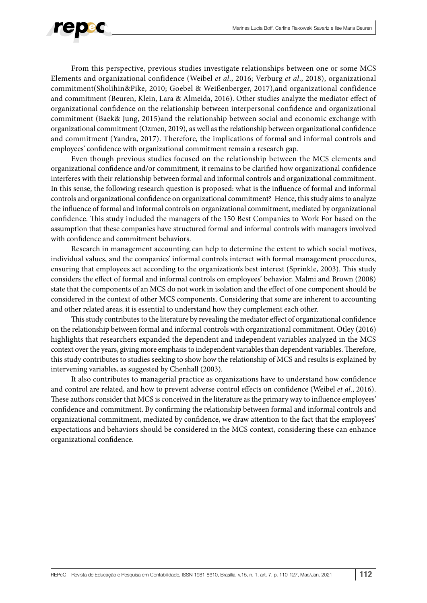

From this perspective, previous studies investigate relationships between one or some MCS Elements and organizational confidence (Weibel *et al*., 2016; Verburg *et al*., 2018), organizational commitment(Sholihin&Pike, 2010; Goebel & Weißenberger, 2017),and organizational confidence and commitment (Beuren, Klein, Lara & Almeida, 2016). Other studies analyze the mediator effect of organizational confidence on the relationship between interpersonal confidence and organizational commitment (Baek& Jung, 2015)and the relationship between social and economic exchange with organizational commitment (Ozmen, 2019), as well as the relationship between organizational confidence and commitment (Yandra, 2017). Therefore, the implications of formal and informal controls and employees' confidence with organizational commitment remain a research gap.

Even though previous studies focused on the relationship between the MCS elements and organizational confidence and/or commitment, it remains to be clarified how organizational confidence interferes with their relationship between formal and informal controls and organizational commitment. In this sense, the following research question is proposed: what is the influence of formal and informal controls and organizational confidence on organizational commitment? Hence, this study aims to analyze the influence of formal and informal controls on organizational commitment, mediated by organizational confidence. This study included the managers of the 150 Best Companies to Work For based on the assumption that these companies have structured formal and informal controls with managers involved with confidence and commitment behaviors.

Research in management accounting can help to determine the extent to which social motives, individual values, and the companies' informal controls interact with formal management procedures, ensuring that employees act according to the organization's best interest (Sprinkle, 2003). This study considers the effect of formal and informal controls on employees' behavior. Malmi and Brown (2008) state that the components of an MCS do not work in isolation and the effect of one component should be considered in the context of other MCS components. Considering that some are inherent to accounting and other related areas, it is essential to understand how they complement each other.

This study contributes to the literature by revealing the mediator effect of organizational confidence on the relationship between formal and informal controls with organizational commitment. Otley (2016) highlights that researchers expanded the dependent and independent variables analyzed in the MCS context over the years, giving more emphasis to independent variables than dependent variables. Therefore, this study contributes to studies seeking to show how the relationship of MCS and results is explained by intervening variables, as suggested by Chenhall (2003).

It also contributes to managerial practice as organizations have to understand how confidence and control are related, and how to prevent adverse control effects on confidence (Weibel *et al*., 2016). These authors consider that MCS is conceived in the literature as the primary way to influence employees' confidence and commitment. By confirming the relationship between formal and informal controls and organizational commitment, mediated by confidence, we draw attention to the fact that the employees' expectations and behaviors should be considered in the MCS context, considering these can enhance organizational confidence.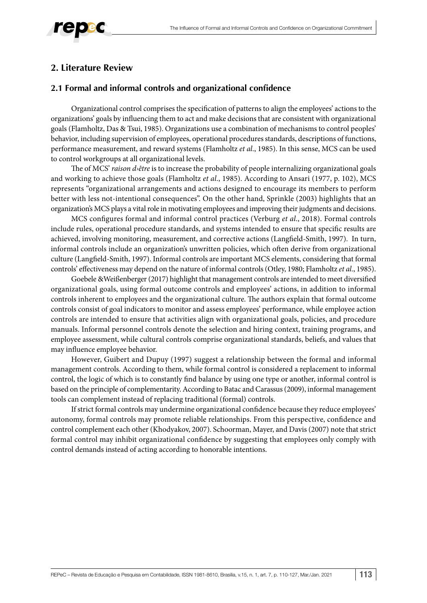

### **2. Literature Review**

### **2.1 Formal and informal controls and organizational confidence**

Organizational control comprises the specification of patterns to align the employees' actions to the organizations' goals by influencing them to act and make decisions that are consistent with organizational goals (Flamholtz, Das & Tsui, 1985). Organizations use a combination of mechanisms to control peoples' behavior, including supervision of employees, operational procedures standards, descriptions of functions, performance measurement, and reward systems (Flamholtz *et al*., 1985). In this sense, MCS can be used to control workgroups at all organizational levels.

The of MCS' raison d<sub>'etre</sub> is to increase the probability of people internalizing organizational goals and working to achieve those goals (Flamholtz *et al*., 1985). According to Ansari (1977, p. 102), MCS represents "organizational arrangements and actions designed to encourage its members to perform better with less not-intentional consequences". On the other hand, Sprinkle (2003) highlights that an organization's MCS plays a vital role in motivating employees and improving their judgments and decisions.

MCS configures formal and informal control practices (Verburg *et al*., 2018). Formal controls include rules, operational procedure standards, and systems intended to ensure that specific results are achieved, involving monitoring, measurement, and corrective actions (Langfield-Smith, 1997). In turn, informal controls include an organization's unwritten policies, which often derive from organizational culture (Langfield-Smith, 1997). Informal controls are important MCS elements, considering that formal controls' effectiveness may depend on the nature of informal controls (Otley, 1980; Flamholtz *et al*., 1985).

Goebele &Weißenberger (2017) highlight that management controls are intended to meet diversified organizational goals, using formal outcome controls and employees' actions, in addition to informal controls inherent to employees and the organizational culture. The authors explain that formal outcome controls consist of goal indicators to monitor and assess employees' performance, while employee action controls are intended to ensure that activities align with organizational goals, policies, and procedure manuals. Informal personnel controls denote the selection and hiring context, training programs, and employee assessment, while cultural controls comprise organizational standards, beliefs, and values that may influence employee behavior.

However, Guibert and Dupuy (1997) suggest a relationship between the formal and informal management controls. According to them, while formal control is considered a replacement to informal control, the logic of which is to constantly find balance by using one type or another, informal control is based on the principle of complementarity. According to Batac and Carassus (2009), informal management tools can complement instead of replacing traditional (formal) controls.

If strict formal controls may undermine organizational confidence because they reduce employees' autonomy, formal controls may promote reliable relationships. From this perspective, confidence and control complement each other (Khodyakov, 2007). Schoorman, Mayer, and Davis (2007) note that strict formal control may inhibit organizational confidence by suggesting that employees only comply with control demands instead of acting according to honorable intentions.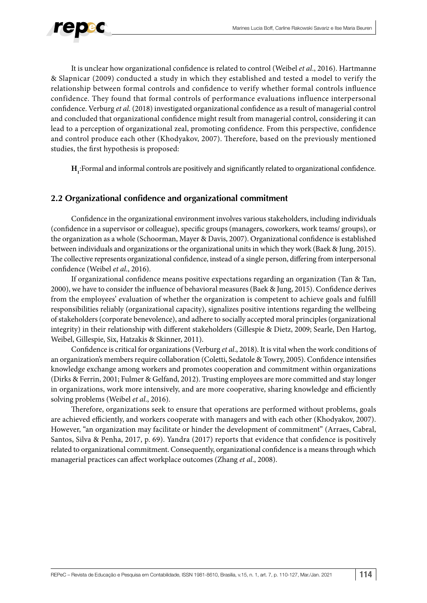

It is unclear how organizational confidence is related to control (Weibel *et al*., 2016). Hartmanne & Slapnicar (2009) conducted a study in which they established and tested a model to verify the relationship between formal controls and confidence to verify whether formal controls influence confidence. They found that formal controls of performance evaluations influence interpersonal confidence. Verburg *et al*. (2018) investigated organizational confidence as a result of managerial control and concluded that organizational confidence might result from managerial control, considering it can lead to a perception of organizational zeal, promoting confidence. From this perspective, confidence and control produce each other (Khodyakov, 2007). Therefore, based on the previously mentioned studies, the first hypothesis is proposed:

**H1** :Formal and informal controls are positively and significantly related to organizational confidence.

### **2.2 Organizational confidence and organizational commitment**

Confidence in the organizational environment involves various stakeholders, including individuals (confidence in a supervisor or colleague), specific groups (managers, coworkers, work teams/ groups), or the organization as a whole ([Schoorman, Mayer & Davis, 2007\)](https://journals.sagepub.com/doi/full/10.1177/1059601117725191). Organizational confidence is established between individuals and organizations or the organizational units in which they work (Baek & Jung, 2015). The collective represents organizational confidence, instead of a single person, differing from interpersonal confidence (Weibel *et al*., 2016).

If organizational confidence means positive expectations regarding an organization (Tan & Tan, 2000), we have to consider the influence of behavioral measures (Baek & Jung, 2015). Confidence derives from the employees' evaluation of whether the organization is competent to achieve goals and fulfill responsibilities reliably (organizational capacity), signalizes positive intentions regarding the wellbeing of stakeholders (corporate benevolence), and adhere to socially accepted moral principles (organizational integrity) in their relationship with different stakeholders [\(Gillespie & Dietz, 2009](https://journals.sagepub.com/doi/full/10.1177/1059601117725191); [Searle, Den Hartog,](https://journals.sagepub.com/doi/full/10.1177/1059601117725191) [Weibel, Gillespie, Six, Hatzakis & Skinner, 2011\)](https://journals.sagepub.com/doi/full/10.1177/1059601117725191).

Confidence is critical for organizations (Verburg *et al*., 2018). It is vital when the work conditions of an organization's members require collaboration (Coletti, Sedatole & Towry, 2005). Confidence intensifies knowledge exchange among workers and promotes cooperation and commitment within organizations (Dirks & Ferrin, 2001; Fulmer & Gelfand, 2012). Trusting employees are more committed and stay longer in organizations, work more intensively, and are more cooperative, sharing knowledge and efficiently solving problems (Weibel *et al*., 2016).

Therefore, organizations seek to ensure that operations are performed without problems, goals are achieved efficiently, and workers cooperate with managers and with each other (Khodyakov, 2007). However, "an organization may facilitate or hinder the development of commitment" (Arraes, Cabral, Santos, Silva & Penha, 2017, p. 69). Yandra (2017) reports that evidence that confidence is positively related to organizational commitment. Consequently, organizational confidence is a means through which managerial practices can affect workplace outcomes [\(Zhang](https://journals.sagepub.com/doi/full/10.1177/1059601117725191) *et al*., 2008).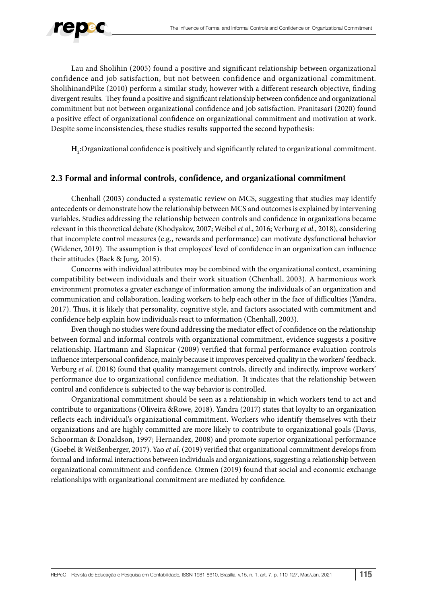

Lau and Sholihin (2005) found a positive and significant relationship between organizational confidence and job satisfaction, but not between confidence and organizational commitment. SholihinandPike (2010) perform a similar study, however with a different research objective, finding divergent results. They found a positive and significant relationship between confidence and organizational commitment but not between organizational confidence and job satisfaction. Pranitasari (2020) found a positive effect of organizational confidence on organizational commitment and motivation at work. Despite some inconsistencies, these studies results supported the second hypothesis:

**H2** :Organizational confidence is positively and significantly related to organizational commitment.

### **2.3 Formal and informal controls, confidence, and organizational commitment**

Chenhall (2003) conducted a systematic review on MCS, suggesting that studies may identify antecedents or demonstrate how the relationship between MCS and outcomes is explained by intervening variables. Studies addressing the relationship between controls and confidence in organizations became relevant in this theoretical debate (Khodyakov, 2007; Weibel *et al*., 2016; Verburg *et al*., 2018), considering that incomplete control measures (e.g., rewards and performance) can motivate dysfunctional behavior (Widener, 2019). The assumption is that employees' level of confidence in an organization can influence their attitudes (Baek & Jung, 2015).

Concerns with individual attributes may be combined with the organizational context, examining compatibility between individuals and their work situation (Chenhall, 2003). A harmonious work environment promotes a greater exchange of information among the individuals of an organization and communication and collaboration, leading workers to help each other in the face of difficulties (Yandra, 2017). Thus, it is likely that personality, cognitive style, and factors associated with commitment and confidence help explain how individuals react to information (Chenhall, 2003).

Even though no studies were found addressing the mediator effect of confidence on the relationship between formal and informal controls with organizational commitment, evidence suggests a positive relationship. Hartmann and Slapnicar (2009) verified that formal performance evaluation controls influence interpersonal confidence, mainly because it improves perceived quality in the workers' feedback. Verburg *et al*. (2018) found that quality management controls, directly and indirectly, improve workers' performance due to organizational confidence mediation. It indicates that the relationship between control and confidence is subjected to the way behavior is controlled.

Organizational commitment should be seen as a relationship in which workers tend to act and contribute to organizations (Oliveira &Rowe, 2018). Yandra (2017) states that loyalty to an organization reflects each individual's organizational commitment. Workers who identify themselves with their organizations and are highly committed are more likely to contribute to organizational goals (Davis, Schoorman & Donaldson, 1997; Hernandez, 2008) and promote superior organizational performance (Goebel & Weißenberger, 2017). Yao *et al*. (2019) verified that organizational commitment develops from formal and informal interactions between individuals and organizations, suggesting a relationship between organizational commitment and confidence. Ozmen (2019) found that social and economic exchange relationships with organizational commitment are mediated by confidence.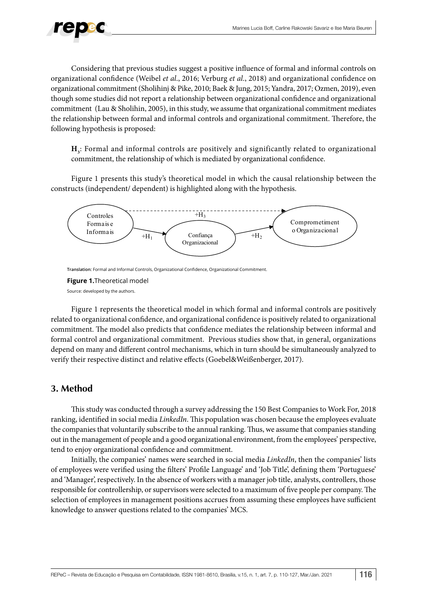

Considering that previous studies suggest a positive influence of formal and informal controls on organizational confidence (Weibel *et al*., 2016; Verburg *et al*., 2018) and organizational confidence on organizational commitment (Sholihinj & Pike, 2010; Baek & Jung, 2015; Yandra, 2017; Ozmen, 2019), even though some studies did not report a relationship between organizational confidence and organizational commitment (Lau & Sholihin, 2005), in this study, we assume that organizational commitment mediates the relationship between formal and informal controls and organizational commitment. Therefore, the following hypothesis is proposed:

**H3** : Formal and informal controls are positively and significantly related to organizational commitment, the relationship of which is mediated by organizational confidence.

Figure 1 presents this study's theoretical model in which the causal relationship between the constructs (independent/ dependent) is highlighted along with the hypothesis.



**Translation:** Formal and Informal Controls, Organizational Confidence, Organizational Commitment.

Source: developed by the authors.

Figure 1 represents the theoretical model in which formal and informal controls are positively related to organizational confidence, and organizational confidence is positively related to organizational commitment. The model also predicts that confidence mediates the relationship between informal and formal control and organizational commitment. Previous studies show that, in general, organizations depend on many and different control mechanisms, which in turn should be simultaneously analyzed to verify their respective distinct and relative effects (Goebel&Weißenberger, 2017).

### **3. Method**

This study was conducted through a survey addressing the 150 Best Companies to Work For, 2018 ranking, identified in social media *LinkedIn*. This population was chosen because the employees evaluate the companies that voluntarily subscribe to the annual ranking. Thus, we assume that companies standing out in the management of people and a good organizational environment, from the employees' perspective, tend to enjoy organizational confidence and commitment.

Initially, the companies' names were searched in social media *LinkedIn*, then the companies' lists of employees were verified using the filters' Profile Language' and 'Job Title', defining them 'Portuguese' and 'Manager', respectively. In the absence of workers with a manager job title, analysts, controllers, those responsible for controllership, or supervisors were selected to a maximum of five people per company. The selection of employees in management positions accrues from assuming these employees have sufficient knowledge to answer questions related to the companies' MCS.

**Figure 1.**Theoretical model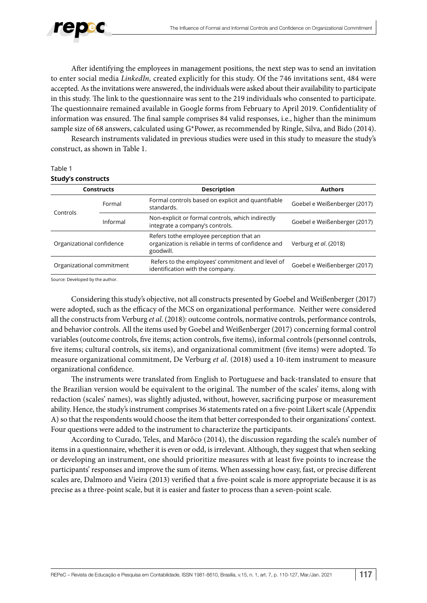

After identifying the employees in management positions, the next step was to send an invitation to enter social media *LinkedIn,* created explicitly for this study. Of the 746 invitations sent, 484 were accepted. As the invitations were answered, the individuals were asked about their availability to participate in this study. The link to the questionnaire was sent to the 219 individuals who consented to participate. The questionnaire remained available in Google forms from February to April 2019. Confidentiality of information was ensured. The final sample comprises 84 valid responses, i.e., higher than the minimum sample size of 68 answers, calculated using G\*Power, as recommended by Ringle, Silva, and Bido (2014).

Research instruments validated in previous studies were used in this study to measure the study's construct, as shown in Table 1.

#### Table 1

#### **Study's constructs**

| <b>Constructs</b>         |          | <b>Description</b>                                                                                           | <b>Authors</b>               |  |  |
|---------------------------|----------|--------------------------------------------------------------------------------------------------------------|------------------------------|--|--|
|                           | Formal   | Formal controls based on explicit and quantifiable<br>standards.                                             | Goebel e Weißenberger (2017) |  |  |
| Controls                  | Informal | Non-explicit or formal controls, which indirectly<br>integrate a company's controls.                         | Goebel e Weißenberger (2017) |  |  |
| Organizational confidence |          | Refers tothe employee perception that an<br>organization is reliable in terms of confidence and<br>goodwill. | Verburg et al. (2018)        |  |  |
| Organizational commitment |          | Refers to the employees' commitment and level of<br>identification with the company.                         | Goebel e Weißenberger (2017) |  |  |

Source: Developed by the author.

Considering this study's objective, not all constructs presented by Goebel and Weißenberger (2017) were adopted, such as the efficacy of the MCS on organizational performance. Neither were considered all the constructs from Verburg *et al*. (2018): outcome controls, normative controls, performance controls, and behavior controls. All the items used by Goebel and Weißenberger (2017) concerning formal control variables (outcome controls, five items; action controls, five items), informal controls (personnel controls, five items; cultural controls, six items), and organizational commitment (five items) were adopted. To measure organizational commitment, De Verburg *et al*. (2018) used a 10-item instrument to measure organizational confidence.

The instruments were translated from English to Portuguese and back-translated to ensure that the Brazilian version would be equivalent to the original. The number of the scales' items, along with redaction (scales' names), was slightly adjusted, without, however, sacrificing purpose or measurement ability. Hence, the study's instrument comprises 36 statements rated on a five-point Likert scale (Appendix A) so that the respondents would choose the item that better corresponded to their organizations' context. Four questions were added to the instrument to characterize the participants.

According to Curado, Teles, and Marôco (2014), the discussion regarding the scale's number of items in a questionnaire, whether it is even or odd, is irrelevant. Although, they suggest that when seeking or developing an instrument, one should prioritize measures with at least five points to increase the participants' responses and improve the sum of items. When assessing how easy, fast, or precise different scales are, Dalmoro and Vieira (2013) verified that a five-point scale is more appropriate because it is as precise as a three-point scale, but it is easier and faster to process than a seven-point scale.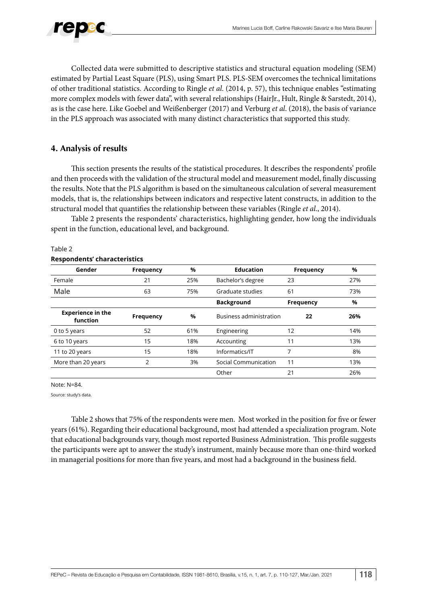

Collected data were submitted to descriptive statistics and structural equation modeling (SEM) estimated by Partial Least Square (PLS), using Smart PLS. PLS-SEM overcomes the technical limitations of other traditional statistics. According to Ringle *et al*. (2014, p. 57), this technique enables "estimating more complex models with fewer data", with several relationships (HairJr., Hult, Ringle & Sarstedt, 2014), as is the case here. Like Goebel and Weißenberger (2017) and Verburg *et al*. (2018), the basis of variance in the PLS approach was associated with many distinct characteristics that supported this study.

### **4. Analysis of results**

This section presents the results of the statistical procedures. It describes the respondents' profile and then proceeds with the validation of the structural model and measurement model, finally discussing the results. Note that the PLS algorithm is based on the simultaneous calculation of several measurement models, that is, the relationships between indicators and respective latent constructs, in addition to the structural model that quantifies the relationship between these variables (Ringle *et al*., 2014).

Table 2 presents the respondents' characteristics, highlighting gender, how long the individuals spent in the function, educational level, and background.

| Respondents' characteristics         |                  |      |                                |                  |     |  |
|--------------------------------------|------------------|------|--------------------------------|------------------|-----|--|
| Gender                               | <b>Frequency</b> | %    | <b>Education</b>               | <b>Frequency</b> | %   |  |
| Female                               | 21               | 25%  | Bachelor's degree              | 23               | 27% |  |
| Male                                 | 63               | 75%  | Graduate studies               | 61               | 73% |  |
|                                      |                  |      | <b>Background</b>              | <b>Frequency</b> | %   |  |
| <b>Experience in the</b><br>function | <b>Frequency</b> | $\%$ | <b>Business administration</b> | 22               | 26% |  |
| 0 to 5 years                         | 52               | 61%  | Engineering                    | 12               | 14% |  |
| 6 to 10 years                        | 15               | 18%  | Accounting                     | 11               | 13% |  |
| 11 to 20 years                       | 15               | 18%  | Informatics/IT                 | 7                | 8%  |  |
| More than 20 years                   | 2                | 3%   | Social Communication           | 11               | 13% |  |
|                                      |                  |      | Other                          | 21               | 26% |  |

### Table 2

#### **Respondents' characteristics**

Note: N=84.

Source: study's data.

Table 2 shows that 75% of the respondents were men. Most worked in the position for five or fewer years (61%). Regarding their educational background, most had attended a specialization program. Note that educational backgrounds vary, though most reported Business Administration. This profile suggests the participants were apt to answer the study's instrument, mainly because more than one-third worked in managerial positions for more than five years, and most had a background in the business field.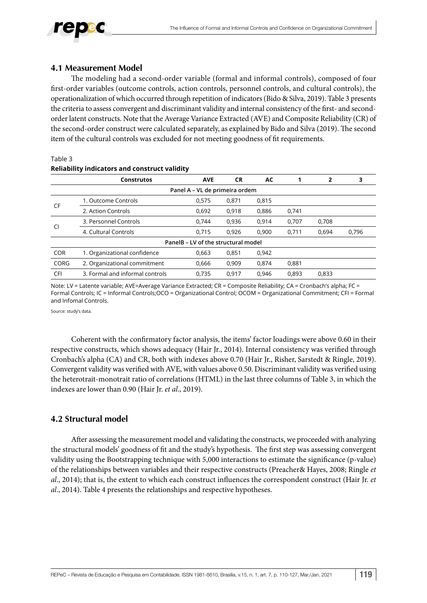

### **4.1 Measurement Model**

The modeling had a second-order variable (formal and informal controls), composed of four first-order variables (outcome controls, action controls, personnel controls, and cultural controls), the operationalization of which occurred through repetition of indicators (Bido & Silva, 2019). Table 3 presents the criteria to assess convergent and discriminant validity and internal consistency of the first- and secondorder latent constructs. Note that the Average Variance Extracted (AVE) and Composite Reliability (CR) of the second-order construct were calculated separately, as explained by Bido and Silva (2019). The second item of the cultural controls was excluded for not meeting goodness of fit requirements.

|            | <b>Construtos</b>               | <b>AVE</b>                          | <b>CR</b> | AC    |       | $\overline{2}$ | 3     |
|------------|---------------------------------|-------------------------------------|-----------|-------|-------|----------------|-------|
|            |                                 | Panel A - VL de primeira ordem      |           |       |       |                |       |
|            | 1. Outcome Controls             | 0.575                               | 0.871     | 0.815 |       |                |       |
| CF         | 2. Action Controls              | 0,692                               | 0,918     | 0,886 | 0,741 |                |       |
| CI         | 3. Personnel Controls           | 0.744                               | 0,936     | 0,914 | 0,707 | 0,708          |       |
|            | 4. Cultural Controls            | 0,715                               | 0.926     | 0.900 | 0,711 | 0,694          | 0,796 |
|            |                                 | PanelB - LV of the structural model |           |       |       |                |       |
| <b>COR</b> | 1. Organizational confidence    | 0,663                               | 0.851     | 0,942 |       |                |       |
| CORG       | 2. Organizational commitment    | 0,666                               | 0,909     | 0.874 | 0,881 |                |       |
| <b>CFI</b> | 3. Formal and informal controls | 0.735                               | 0.917     | 0.946 | 0.893 | 0,833          |       |

### **Reliability indicators and construct validity**

Note: LV = Latente variable; AVE=Average Variance Extracted; CR = Composite Reliability; CA = Cronbach's alpha; FC = Formal Controls; IC = Informal Controls;OCO = Organizational Control; OCOM = Organizational Commitment; CFI = Formal and Infomal Controls.

Source: study's data.

Table 3

Coherent with the confirmatory factor analysis, the items' factor loadings were above 0.60 in their respective constructs, which shows adequacy (Hair Jr., 2014). Internal consistency was verified through Cronbach's alpha (CA) and CR, both with indexes above 0.70 (Hair Jr., Risher, Sarstedt & Ringle, 2019). Convergent validity was verified with AVE, with values above 0.50. Discriminant validity was verified using the heterotrait-monotrait ratio of correlations (HTML) in the last three columns of Table 3, in which the indexes are lower than 0.90 (Hair Jr. *et al*., 2019).

### **4.2 Structural model**

After assessing the measurement model and validating the constructs, we proceeded with analyzing the structural models' goodness of fit and the study's hypothesis. The first step was assessing convergent validity using the Bootstrapping technique with 5,000 interactions to estimate the significance (p-value) of the relationships between variables and their respective constructs (Preacher& Hayes, 2008; Ringle *et al*., 2014); that is, the extent to which each construct influences the correspondent construct (Hair Jr. *et al*., 2014). Table 4 presents the relationships and respective hypotheses.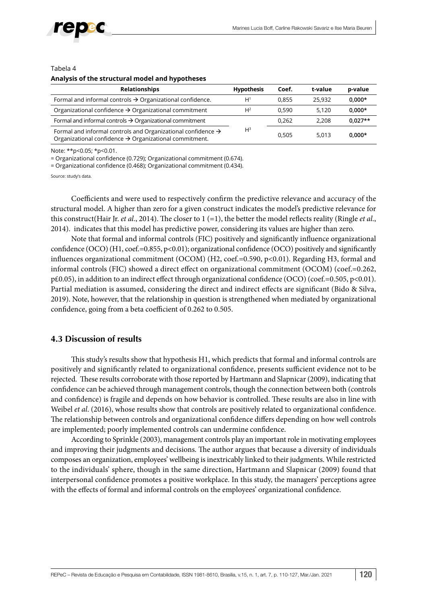

#### Tabela 4

#### **Analysis of the structural model and hypotheses**

| <b>Relationships</b>                                                                                                                           | <b>Hypothesis</b> | Coef. | t-value | p-value   |
|------------------------------------------------------------------------------------------------------------------------------------------------|-------------------|-------|---------|-----------|
| Formal and informal controls $\rightarrow$ Organizational confidence.                                                                          | H <sup>1</sup>    | 0.855 | 25,932  | $0.000*$  |
| Organizational confidence $\rightarrow$ Organizational commitment                                                                              | H <sup>2</sup>    | 0.590 | 5.120   | $0.000*$  |
| Formal and informal controls $\rightarrow$ Organizational commitment                                                                           |                   | 0.262 | 2.208   | $0.027**$ |
| Formal and informal controls and Organizational confidence $\rightarrow$<br>Organizational confidence $\rightarrow$ Organizational commitment. | $H^3$             | 0.505 | 5.013   | $0.000*$  |

Note: \*\*p<0.05; \*p<0.01.

= Organizational confidence (0.729); Organizational commitment (0.674).

= Organizational confidence (0.468); Organizational commitment (0.434).

Source: study's data.

Coefficients and were used to respectively confirm the predictive relevance and accuracy of the structural model. A higher than zero for a given construct indicates the model's predictive relevance for this construct(Hair Jr. *et al*., 2014). The closer to 1 (=1), the better the model reflects reality (Ringle *et al*., 2014). indicates that this model has predictive power, considering its values are higher than zero.

Note that formal and informal controls (FIC) positively and significantly influence organizational confidence (OCO) (H1, coef.=0.855, p<0.01); organizational confidence (OCO) positively and significantly influences organizational commitment (OCOM) (H2, coef.=0.590, p<0.01). Regarding H3, formal and informal controls (FIC) showed a direct effect on organizational commitment (OCOM) (coef.=0.262, p£0.05), in addition to an indirect effect through organizational confidence (OCO) (coef.=0.505, p<0.01). Partial mediation is assumed, considering the direct and indirect effects are significant (Bido & Silva, 2019). Note, however, that the relationship in question is strengthened when mediated by organizational confidence, going from a beta coefficient of 0.262 to 0.505.

### **4.3 Discussion of results**

This study's results show that hypothesis H1, which predicts that formal and informal controls are positively and significantly related to organizational confidence, presents sufficient evidence not to be rejected. These results corroborate with those reported by Hartmann and Slapnicar (2009), indicating that confidence can be achieved through management controls, though the connection between both (controls and confidence) is fragile and depends on how behavior is controlled. These results are also in line with Weibel *et al*. (2016), whose results show that controls are positively related to organizational confidence. The relationship between controls and organizational confidence differs depending on how well controls are implemented; poorly implemented controls can undermine confidence.

According to Sprinkle (2003), management controls play an important role in motivating employees and improving their judgments and decisions. The author argues that because a diversity of individuals composes an organization, employees' wellbeing is inextricably linked to their judgments. While restricted to the individuals' sphere, though in the same direction, Hartmann and Slapnicar (2009) found that interpersonal confidence promotes a positive workplace. In this study, the managers' perceptions agree with the effects of formal and informal controls on the employees' organizational confidence.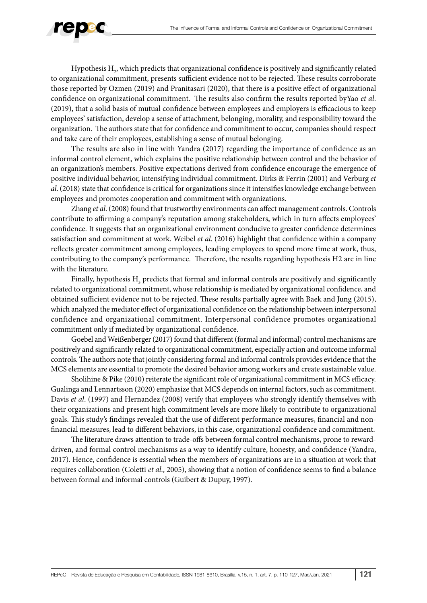

Hypothesis  $\mathrm{H}_{_2}$ , which predicts that organizational confidence is positively and significantly related to organizational commitment, presents sufficient evidence not to be rejected. These results corroborate those reported by Ozmen (2019) and Pranitasari (2020), that there is a positive effect of organizational confidence on organizational commitment. The results also confirm the results reported byYao *et al*. (2019), that a solid basis of mutual confidence between employees and employers is efficacious to keep employees' satisfaction, develop a sense of attachment, belonging, morality, and responsibility toward the organization. The authors state that for confidence and commitment to occur, companies should respect and take care of their employees, establishing a sense of mutual belonging.

The results are also in line with Yandra (2017) regarding the importance of confidence as an informal control element, which explains the positive relationship between control and the behavior of an organization's members. Positive expectations derived from confidence encourage the emergence of positive individual behavior, intensifying individual commitment. Dirks & Ferrin (2001) and Verburg *et al*. (2018) state that confidence is critical for organizations since it intensifies knowledge exchange between employees and promotes cooperation and commitment with organizations.

Zhang *et al*. (2008) found that trustworthy environments can affect management controls. Controls contribute to affirming a company's reputation among stakeholders, which in turn affects employees' confidence. It suggests that an organizational environment conducive to greater confidence determines satisfaction and commitment at work. Weibel *et al*. (2016) highlight that confidence within a company reflects greater commitment among employees, leading employees to spend more time at work, thus, contributing to the company's performance. Therefore, the results regarding hypothesis H2 are in line with the literature.

Finally, hypothesis  $\mathrm{H}_\mathfrak{z}$  predicts that formal and informal controls are positively and significantly related to organizational commitment, whose relationship is mediated by organizational confidence, and obtained sufficient evidence not to be rejected. These results partially agree with Baek and Jung (2015), which analyzed the mediator effect of organizational confidence on the relationship between interpersonal confidence and organizational commitment. Interpersonal confidence promotes organizational commitment only if mediated by organizational confidence.

Goebel and Weißenberger (2017) found that different (formal and informal) control mechanisms are positively and significantly related to organizational commitment, especially action and outcome informal controls. The authors note that jointly considering formal and informal controls provides evidence that the MCS elements are essential to promote the desired behavior among workers and create sustainable value.

Sholihine & Pike (2010) reiterate the significant role of organizational commitment in MCS efficacy. Gualinga and Lennartsson (2020) emphasize that MCS depends on internal factors, such as commitment. Davis *et al*. (1997) and Hernandez (2008) verify that employees who strongly identify themselves with their organizations and present high commitment levels are more likely to contribute to organizational goals. This study's findings revealed that the use of different performance measures, financial and nonfinancial measures, lead to different behaviors, in this case, organizational confidence and commitment.

The literature draws attention to trade-offs between formal control mechanisms, prone to rewarddriven, and formal control mechanisms as a way to identify culture, honesty, and confidence (Yandra, 2017). Hence, confidence is essential when the members of organizations are in a situation at work that requires collaboration (Coletti *et al*., 2005), showing that a notion of confidence seems to find a balance between formal and informal controls (Guibert & Dupuy, 1997).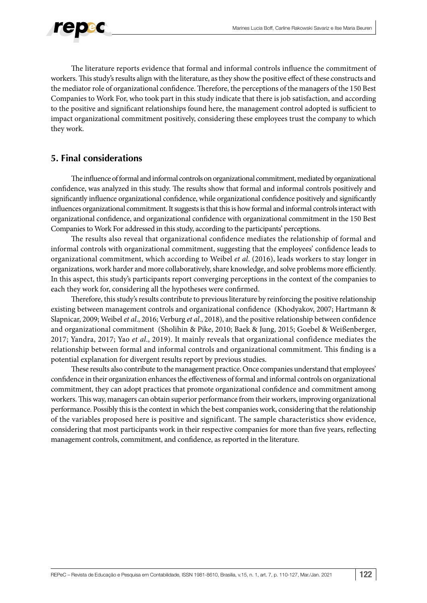

The literature reports evidence that formal and informal controls influence the commitment of workers. This study's results align with the literature, as they show the positive effect of these constructs and the mediator role of organizational confidence. Therefore, the perceptions of the managers of the 150 Best Companies to Work For, who took part in this study indicate that there is job satisfaction, and according to the positive and significant relationships found here, the management control adopted is sufficient to impact organizational commitment positively, considering these employees trust the company to which they work.

### **5. Final considerations**

The influence of formal and informal controls on organizational commitment, mediated by organizational confidence, was analyzed in this study. The results show that formal and informal controls positively and significantly influence organizational confidence, while organizational confidence positively and significantly influences organizational commitment. It suggests is that this is how formal and informal controls interact with organizational confidence, and organizational confidence with organizational commitment in the 150 Best Companies to Work For addressed in this study, according to the participants' perceptions.

The results also reveal that organizational confidence mediates the relationship of formal and informal controls with organizational commitment, suggesting that the employees' confidence leads to organizational commitment, which according to Weibel *et al*. (2016), leads workers to stay longer in organizations, work harder and more collaboratively, share knowledge, and solve problems more efficiently. In this aspect, this study's participants report converging perceptions in the context of the companies to each they work for, considering all the hypotheses were confirmed.

Therefore, this study's results contribute to previous literature by reinforcing the positive relationship existing between management controls and organizational confidence (Khodyakov, 2007; Hartmann & Slapnicar, 2009; Weibel *et al*., 2016; Verburg *et al*., 2018), and the positive relationship between confidence and organizational commitment (Sholihin & Pike, 2010; Baek & Jung, 2015; Goebel & Weißenberger, 2017; Yandra, 2017; Yao *et al*., 2019). It mainly reveals that organizational confidence mediates the relationship between formal and informal controls and organizational commitment. This finding is a potential explanation for divergent results report by previous studies.

These results also contribute to the management practice. Once companies understand that employees' confidence in their organization enhances the effectiveness of formal and informal controls on organizational commitment, they can adopt practices that promote organizational confidence and commitment among workers. This way, managers can obtain superior performance from their workers, improving organizational performance. Possibly this is the context in which the best companies work, considering that the relationship of the variables proposed here is positive and significant. The sample characteristics show evidence, considering that most participants work in their respective companies for more than five years, reflecting management controls, commitment, and confidence, as reported in the literature.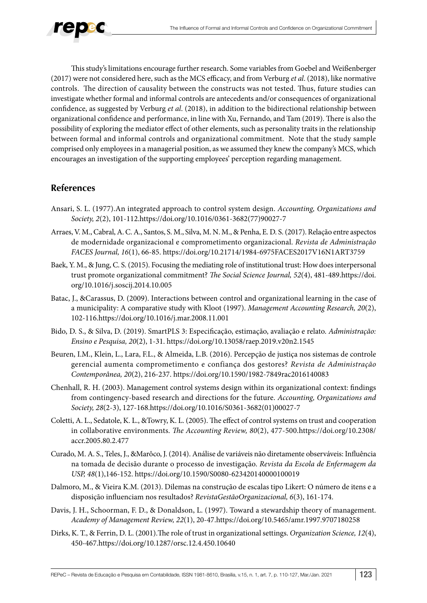

This study's limitations encourage further research. Some variables from Goebel and Weißenberger (2017) were not considered here, such as the MCS efficacy, and from Verburg *et al*. (2018), like normative controls. The direction of causality between the constructs was not tested. Thus, future studies can investigate whether formal and informal controls are antecedents and/or consequences of organizational confidence, as suggested by Verburg *et al*. (2018), in addition to the bidirectional relationship between organizational confidence and performance, in line with Xu, Fernando, and Tam (2019). There is also the possibility of exploring the mediator effect of other elements, such as personality traits in the relationship between formal and informal controls and organizational commitment. Note that the study sample comprised only employees in a managerial position, as we assumed they knew the company's MCS, which encourages an investigation of the supporting employees' perception regarding management.

### **References**

- Ansari, S. L. (1977).An integrated approach to control system design. *Accounting, Organizations and Society, 2*(2), 101-112.[https://doi.org/10.1016/0361-3682\(77\)90027-7](https://doi.org/10.1016/0361-3682(77)90027-7)
- Arraes, V. M., Cabral, A. C. A., Santos, S. M., Silva, M. N. M., & Penha, E. D. S. (2017). Relação entre aspectos de modernidade organizacional e comprometimento organizacional. *Revista de Administração FACES Journal, 16*(1), 66-85.<https://doi.org/10.21714/1984-6975FACES2017V16N1ART3759>
- Baek, Y. M., & Jung, C. S. (2015). Focusing the mediating role of institutional trust: How does interpersonal trust promote organizational commitment? *The Social Science Journal, 52*(4), 481-489.[https://doi.](https://doi.org/10.1016/j.soscij.2014.10.005) [org/10.1016/j.soscij.2014.10.005](https://doi.org/10.1016/j.soscij.2014.10.005)
- Batac, J., &Carassus, D. (2009). Interactions between control and organizational learning in the case of a municipality: A comparative study with Kloot (1997). *Management Accounting Research, 20*(2), 102-116[.https://doi.org/10.1016/j.mar.2008.11.001](https://doi.org/10.1016/j.mar.2008.11.001)
- Bido, D. S., & Silva, D. (2019). SmartPLS 3: Especificação, estimação, avaliação e relato. *Administração: Ensino e Pesquisa, 20*(2), 1-31. https://doi.org/10.13058/raep.2019.v20n2.1545
- Beuren, I.M., Klein, L., Lara, F.L., & Almeida, L.B. (2016). Percepção de justiça nos sistemas de controle gerencial aumenta comprometimento e confiança dos gestores? *Revista de Administração Contemporânea, 20*(2), 216-237. <https://doi.org/10.1590/1982-7849rac2016140083>
- Chenhall, R. H. (2003). Management control systems design within its organizational context: findings from contingency-based research and directions for the future. *Accounting, Organizations and Society, 28*(2-3), 127-168[.https://doi.org/10.1016/S0361-3682\(01\)00027-7](https://doi.org/10.1016/S0361-3682(01)00027-7)
- Coletti, A. L., Sedatole, K. L., &Towry, K. L. (2005). The effect of control systems on trust and cooperation in collaborative environments. *The Accounting Review, 80*(2), 477-500.[https://doi.org/10.2308/](https://doi.org/10.2308/accr.2005.80.2.477) [accr.2005.80.2.477](https://doi.org/10.2308/accr.2005.80.2.477)
- Curado, M. A. S., Teles, J., &Marôco, J. (2014). Análise de variáveis não diretamente observáveis: Influência na tomada de decisão durante o processo de investigação. *Revista da Escola de Enfermagem da USP, 48*(1),146-152.<https://doi.org/10.1590/S0080-623420140000100019>
- Dalmoro, M., & Vieira K.M. (2013). Dilemas na construção de escalas tipo Likert: O número de itens e a disposição influenciam nos resultados? *RevistaGestãoOrganizacional, 6*(3), 161-174.
- Davis, J. H., Schoorman, F. D., & Donaldson, L. (1997). Toward a stewardship theory of management. *Academy of Management Review, 22*(1), 20-47.https://doi.org/10.5465/amr.1997.9707180258
- Dirks, K. T., & Ferrin, D. L. (2001).The role of trust in organizational settings. *Organization Science, 12*(4), 450-467.https://doi.org/10.1287/orsc.12.4.450.10640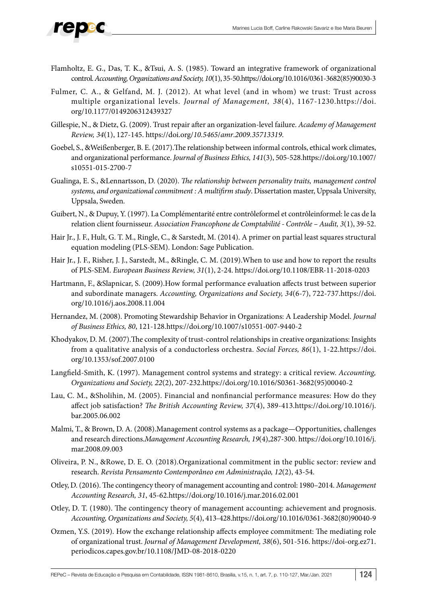- Flamholtz, E. G., Das, T. K., &Tsui, A. S. (1985). Toward an integrative framework of organizational control. *Accounting, Organizations and Society, 10*(1), 35-50[.https://doi.org/10.1016/0361-3682\(85\)90030-3](https://doi.org/10.1016/0361-3682(85)90030-3)
- Fulmer, C. A., & Gelfand, M. J. (2012). At what level (and in whom) we trust: Trust across multiple organizational levels. *Journal of Management, 38*(4), 1167-1230.[https://doi.](https://doi.org/10.1177%2F0149206312439327) [org/10.1177/0149206312439327](https://doi.org/10.1177%2F0149206312439327)
- Gillespie, N., & Dietz, G. (2009). Trust repair after an organization-level failure. *Academy of Management Review, 34*(1), 127-145. https://doi.org/*10.5465*/*amr*.*2009.35713319*.
- Goebel, S., &Weißenberger, B. E. (2017).The relationship between informal controls, ethical work climates, and organizational performance. *Journal of Business Ethics, 141*(3), 505-528.https://doi.org/10.1007/ s10551-015-2700-7
- Gualinga, E. S., &Lennartsson, D. (2020). *The relationship between personality traits, management control systems, and organizational commitment : A multifirm study*. Dissertation master, Uppsala University, Uppsala, Sweden.
- Guibert, N., & Dupuy, Y. (1997). La Complémentarité entre contrôleformel et contrôleinformel: le cas de la relation client fournisseur. *Association Francophone de Comptabilité - Contrôle – Audit, 3*(1), 39-52.
- Hair Jr., J. F., Hult, G. T. M., Ringle, C., & Sarstedt, M. (2014). A primer on partial least squares structural equation modeling (PLS-SEM). London: Sage Publication.
- Hair Jr., J. F., Risher, J. J., Sarstedt, M., &Ringle, C. M. (2019).When to use and how to report the results of PLS-SEM. *European Business Review, 31*(1), 2-24. https://doi.org/10.1108/EBR-11-2018-0203
- Hartmann, F., &Slapnicar, S. (2009).How formal performance evaluation affects trust between superior and subordinate managers. *[Accounting,](https://www.sciencedirect.com/science/journal/03613682) Organizations and Society, 34*(6-7), 722-737.[https://doi.](https://doi.org/10.1016/j.aos.2008.11.004) [org/10.1016/j.aos.2008.11.004](https://doi.org/10.1016/j.aos.2008.11.004)
- Hernandez, M. (2008). Promoting Stewardship Behavior in Organizations: A Leadership Model. *Journal of Business Ethics, 80*, 121-128.https://doi.org/10.1007/s10551-007-9440-2
- Khodyakov, D. M. (2007).The complexity of trust-control relationships in creative organizations: Insights from a qualitative analysis of a conductorless orchestra. *Social Forces, 86*(1), 1-22.[https://doi.](https://doi.org/10.1353/sof.2007.0100) [org/10.1353/sof.2007.0100](https://doi.org/10.1353/sof.2007.0100)
- Langfield-Smith, K. (1997). Management control systems and strategy: a critical review. *Accounting, Organizations and Society, 22*(2), 207-232[.https://doi.org/10.1016/S0361-3682\(95\)00040-2](https://doi.org/10.1016/S0361-3682(95)00040-2)
- Lau, C. M., &Sholihin, M. (2005). Financial and nonfinancial performance measures: How do they affect job satisfaction? *The British Accounting Review, 37*(4), 389-413[.https://doi.org/10.1016/j.](https://doi.org/10.1016/j.bar.2005.06.002) [bar.2005.06.002](https://doi.org/10.1016/j.bar.2005.06.002)
- Malmi, T., & Brown, D. A. (2008).Management control systems as a package—Opportunities, challenges and research directions.*Management Accounting Research, 19*(4),287-300. [https://doi.org/10.1016/j.](https://doi.org/10.1016/j.mar.2008.09.003) [mar.2008.09.003](https://doi.org/10.1016/j.mar.2008.09.003)
- Oliveira, P. N., &Rowe, D. E. O. (2018).Organizational commitment in the public sector: review and research. *Revista Pensamento Contemporâneo em Administração, 12*(2), 43-54.
- Otley, D. (2016). The contingency theory of management accounting and control: 1980–2014. *Management Accounting Research, 31*, 45-62[.https://doi.org/10.1016/j.mar.2016.02.001](https://doi.org/10.1016/j.mar.2016.02.001)
- Otley, D. T. (1980). The contingency theory of management accounting: achievement and prognosis. *Accounting, Organizations and Society, 5*(4), 413-428.[https://doi.org/10.1016/0361-3682\(80\)90040-9](https://doi.org/10.1016/0361-3682(80)90040-9)
- Ozmen, Y.S. (2019). How the exchange relationship affects employee commitment: The mediating role of organizational trust. *Journal of Management Development, 38*(6), 501-516. https://doi-org.ez71. periodicos.capes.gov.br/10.1108/JMD-08-2018-0220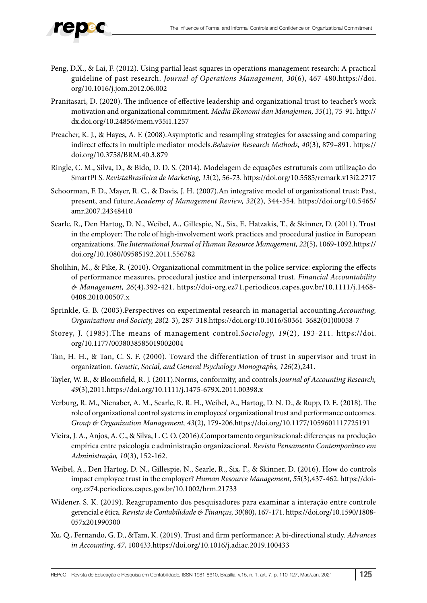

- Peng, D.X., & Lai, F. (2012). Using partial least squares in operations management research: A practical guideline of past research. *Journal of Operations Management, 30*(6), 467-480.[https://doi.](https://doi.org/10.1016/j.jom.2012.06.002) [org/10.1016/j.jom.2012.06.002](https://doi.org/10.1016/j.jom.2012.06.002)
- Pranitasari, D. (2020). The influence of effective leadership and organizational trust to teacher's work motivation and organizational commitment. *Media Ekonomi dan Manajemen, 35*(1), 75-91. [http://](http://dx.doi.org/10.24856/mem.v35i1.1257) [dx.doi.org/10.24856/mem.v35i1.1257](http://dx.doi.org/10.24856/mem.v35i1.1257)
- Preacher, K. J., & Hayes, A. F. (2008).Asymptotic and resampling strategies for assessing and comparing indirect effects in multiple mediator models.*Behavior Research Methods, 40*(3), 879–891. [https://](https://doi.org/10.3758/BRM.40.3.879) [doi.org/10.3758/BRM.40.3.879](https://doi.org/10.3758/BRM.40.3.879)
- Ringle, C. M., Silva, D., & Bido, D. D. S. (2014). Modelagem de equações estruturais com utilização do SmartPLS. *RevistaBrasileira de Marketing, 13*(2), 56-73.<https://doi.org/10.5585/remark.v13i2.2717>
- Schoorman, F. D., Mayer, R. C., & Davis, J. H. (2007).An integrative model of organizational trust: Past, present, and future.*Academy of Management Review, 32*(2), 344-354. [https://doi.org/10.5465/](https://doi.org/10.5465/amr.2007.24348410) [amr.2007.24348410](https://doi.org/10.5465/amr.2007.24348410)
- Searle, R., Den Hartog, D. N., Weibel, A., Gillespie, N., Six, F., Hatzakis, T., & Skinner, D. (2011). Trust in the employer: The role of high-involvement work practices and procedural justice in European organizations. *The International Journal of Human Resource Management, 22*(5), 1069-1092[.https://](https://doi.org/10.1080/09585192.2011.556782) [doi.org/10.1080/09585192.2011.556782](https://doi.org/10.1080/09585192.2011.556782)
- Sholihin, M., & Pike, R. (2010). Organizational commitment in the police service: exploring the effects of performance measures, procedural justice and interpersonal trust. *Financial Accountability & Management, 26*(4),392-421. [https://doi-org.ez71.periodicos.capes.gov.br/10.1111/j.1468-](https://doi-org.ez71.periodicos.capes.gov.br/10.1111/j.1468-0408.2010.00507.x) [0408.2010.00507.x](https://doi-org.ez71.periodicos.capes.gov.br/10.1111/j.1468-0408.2010.00507.x)
- Sprinkle, G. B. (2003).Perspectives on experimental research in managerial accounting.*Accounting, Organizations and Society, 28*(2-3), 287-318[.https://doi.org/10.1016/S0361-3682\(01\)00058-7](https://doi.org/10.1016/S0361-3682(01)00058-7)
- Storey, J. (1985).The means of management control.*Sociology, 19*(2), 193-211. [https://doi.](https://doi.org/10.1177%2F0038038585019002004) [org/10.1177/0038038585019002004](https://doi.org/10.1177%2F0038038585019002004)
- Tan, H. H., & Tan, C. S. F. (2000). Toward the differentiation of trust in supervisor and trust in organization. *Genetic, Social, and General Psychology Monographs, 126*(2),241.
- Tayler, W. B., & Bloomfield, R. J. (2011).Norms, conformity, and controls.*Journal of Accounting Research, 49*(3),2011.<https://doi.org/10.1111/j.1475-679X.2011.00398.x>
- Verburg, R. M., Nienaber, A. M., Searle, R. R. H., Weibel, A., Hartog, D. N. D., & Rupp, D. E. (2018). The role of organizational control systems in employees' organizational trust and performance outcomes. *Group & Organization Management, 43*(2), 179-206[.https://doi.org/10.1177/1059601117725191](https://doi.org/10.1177%2F1059601117725191)
- Vieira, J. A., Anjos, A. C., & Silva, L. C. O. (2016).Comportamento organizacional: diferenças na produção empírica entre psicologia e administração organizacional. *Revista Pensamento Contemporâneo em Administração, 10*(3), 152-162.
- Weibel, A., Den Hartog, D. N., Gillespie, N., Searle, R., Six, F., & Skinner, D. (2016). How do controls impact employee trust in the employer? *Human Resource Management, 55*(3),437-462. [https://doi](https://doi-org.ez74.periodicos.capes.gov.br/10.1002/hrm.21733)[org.ez74.periodicos.capes.gov.br/10.1002/hrm.21733](https://doi-org.ez74.periodicos.capes.gov.br/10.1002/hrm.21733)
- Widener, S. K. (2019). Reagrupamento dos pesquisadores para examinar a interação entre controle gerencial e ética. *Revista de Contabilidade & Finanças, 30*(80), 167-171. [https://doi.org/10.1590/1808-](https://doi.org/10.1590/1808-057x201990300) [057x201990300](https://doi.org/10.1590/1808-057x201990300)
- Xu, Q., Fernando, G. D., &Tam, K. (2019). Trust and firm performance: A bi-directional study. *Advances in Accounting, 47*, 100433.<https://doi.org/10.1016/j.adiac.2019.100433>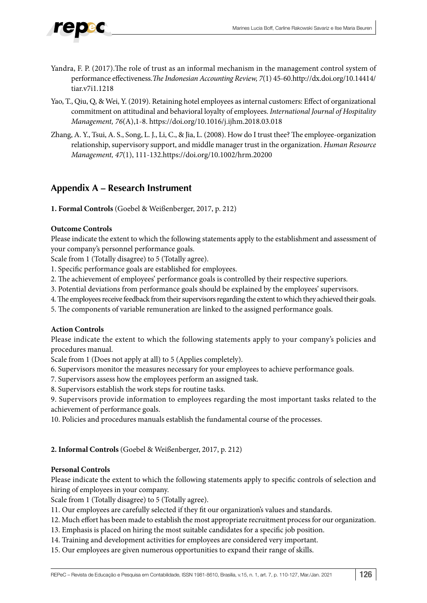

- Yandra, F. P. (2017).The role of trust as an informal mechanism in the management control system of performance effectiveness.*The Indonesian Accounting Review, 7*(1) 45-60.[http://dx.doi.org/10.14414/](http://dx.doi.org/10.14414/tiar.v7i1.1218) [tiar.v7i1.1218](http://dx.doi.org/10.14414/tiar.v7i1.1218)
- Yao, T., Qiu, Q, & Wei, Y. (2019). Retaining hotel employees as internal customers: Effect of organizational commitment on attitudinal and behavioral loyalty of employees. *[International Journal of Hospitality](https://www.sciencedirect.com/science/journal/02784319) [Management,](https://www.sciencedirect.com/science/journal/02784319) 76*(A),1-8.<https://doi.org/10.1016/j.ijhm.2018.03.018>
- Zhang, A. Y., Tsui, A. S., Song, L. J., Li, C., & Jia, L. (2008). How do I trust thee? The employee‐organization relationship, supervisory support, and middle manager trust in the organization. *Human Resource Management, 47*(1), 111-132[.https://doi.org/10.1002/hrm.20200](https://doi.org/10.1002/hrm.20200)

## **Appendix A – Research Instrument**

**1. Formal Controls** (Goebel & Weißenberger, 2017, p. 212)

### **Outcome Controls**

Please indicate the extent to which the following statements apply to the establishment and assessment of your company's personnel performance goals.

Scale from 1 (Totally disagree) to 5 (Totally agree).

- 1. Specific performance goals are established for employees.
- 2. The achievement of employees' performance goals is controlled by their respective superiors.
- 3. Potential deviations from performance goals should be explained by the employees' supervisors.
- 4. The employees receive feedback from their supervisors regarding the extent to which they achieved their goals.
- 5. The components of variable remuneration are linked to the assigned performance goals.

### **Action Controls**

Please indicate the extent to which the following statements apply to your company's policies and procedures manual.

Scale from 1 (Does not apply at all) to 5 (Applies completely).

- 6. Supervisors monitor the measures necessary for your employees to achieve performance goals.
- 7. Supervisors assess how the employees perform an assigned task.
- 8. Supervisors establish the work steps for routine tasks.

9. Supervisors provide information to employees regarding the most important tasks related to the achievement of performance goals.

10. Policies and procedures manuals establish the fundamental course of the processes.

### **2. Informal Controls** (Goebel & Weißenberger, 2017, p. 212)

### **Personal Controls**

Please indicate the extent to which the following statements apply to specific controls of selection and hiring of employees in your company.

Scale from 1 (Totally disagree) to 5 (Totally agree).

- 11. Our employees are carefully selected if they fit our organization's values and standards.
- 12. Much effort has been made to establish the most appropriate recruitment process for our organization.
- 13. Emphasis is placed on hiring the most suitable candidates for a specific job position.
- 14. Training and development activities for employees are considered very important.
- 15. Our employees are given numerous opportunities to expand their range of skills.